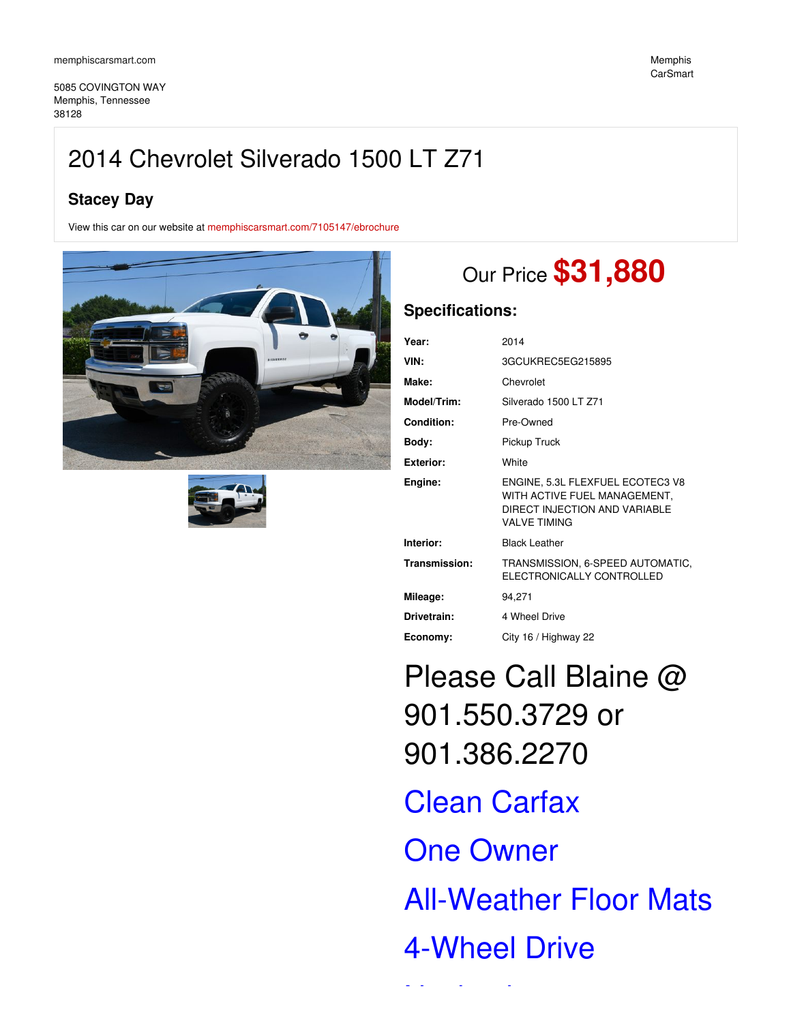5085 COVINGTON WAY Memphis, Tennessee 38128

# **Stacey Day**

View this car on our website at [memphiscarsmart.com/7105147/ebrochure](https://memphiscarsmart.com/vehicle/7105147/2014-chevrolet-silverado-1500-lt-z71-memphis-tennessee-38128/7105147/ebrochure)





# Our Price **\$31,880**

## **Specifications:**

| Year:            | 2014                                                                                                                     |
|------------------|--------------------------------------------------------------------------------------------------------------------------|
| VIN:             | 3GCUKREC5EG215895                                                                                                        |
| Make:            | Chevrolet                                                                                                                |
| Model/Trim:      | Silverado 1500 LT Z71                                                                                                    |
| Condition:       | Pre-Owned                                                                                                                |
| Body:            | Pickup Truck                                                                                                             |
| <b>Exterior:</b> | White                                                                                                                    |
| Engine:          | ENGINE, 5.3L FLEXFUEL ECOTEC3 V8<br>WITH ACTIVE FUEL MANAGEMENT,<br>DIRECT INJECTION AND VARIABLE<br><b>VALVE TIMING</b> |
| Interior:        | <b>Black Leather</b>                                                                                                     |
| Transmission:    | TRANSMISSION, 6-SPEED AUTOMATIC,<br>ELECTRONICALLY CONTROLLED                                                            |
| Mileage:         | 94,271                                                                                                                   |
| Drivetrain:      | 4 Wheel Drive                                                                                                            |
| Economy:         | City 16 / Highway 22                                                                                                     |

Please Call Blaine @ 901.550.3729 or 901.386.2270

Clean Carfax

One Owner

All-Weather Floor Mats

# 4-Wheel Drive

Navigation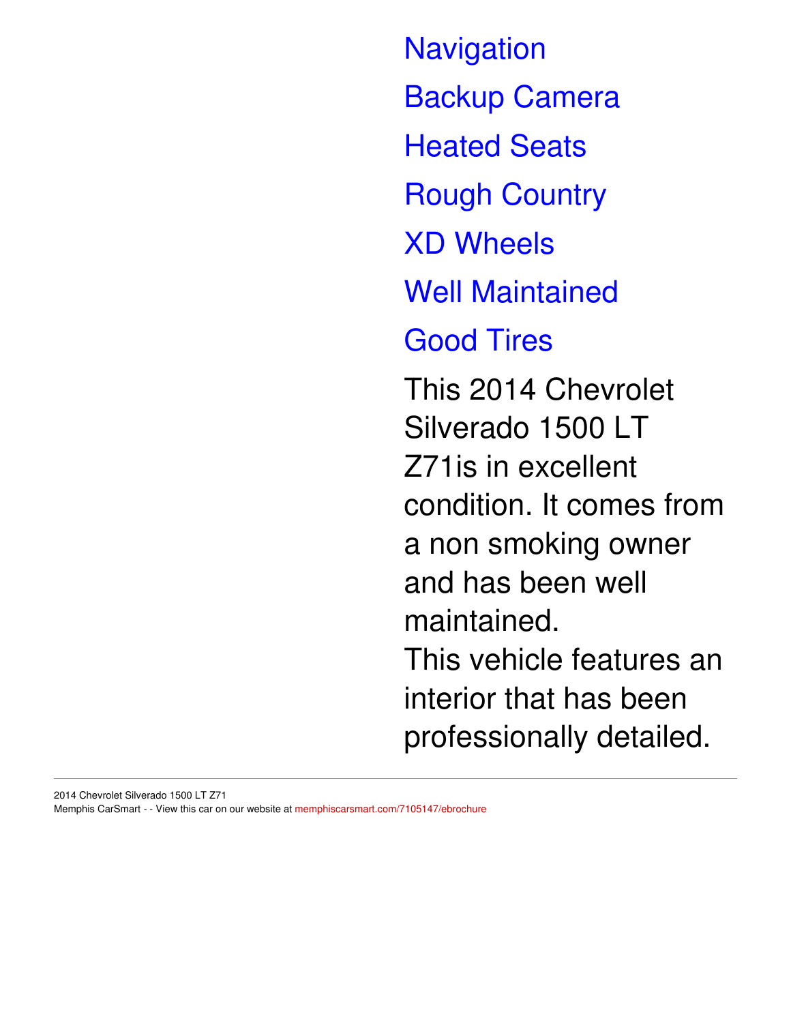**Navigation** Backup Camera Heated Seats Rough Country XD Wheels Well Maintained Good Tires This 2014 Chevrolet Silverado 1500 LT Z71is in excellent condition. It comes from a non smoking owner and has been well maintained. This vehicle features an interior that has been

professionally detailed.

2014 Chevrolet Silverado 1500 LT Z71 Memphis CarSmart - - View this car on our website at [memphiscarsmart.com/7105147/ebrochure](https://memphiscarsmart.com/vehicle/7105147/2014-chevrolet-silverado-1500-lt-z71-memphis-tennessee-38128/7105147/ebrochure)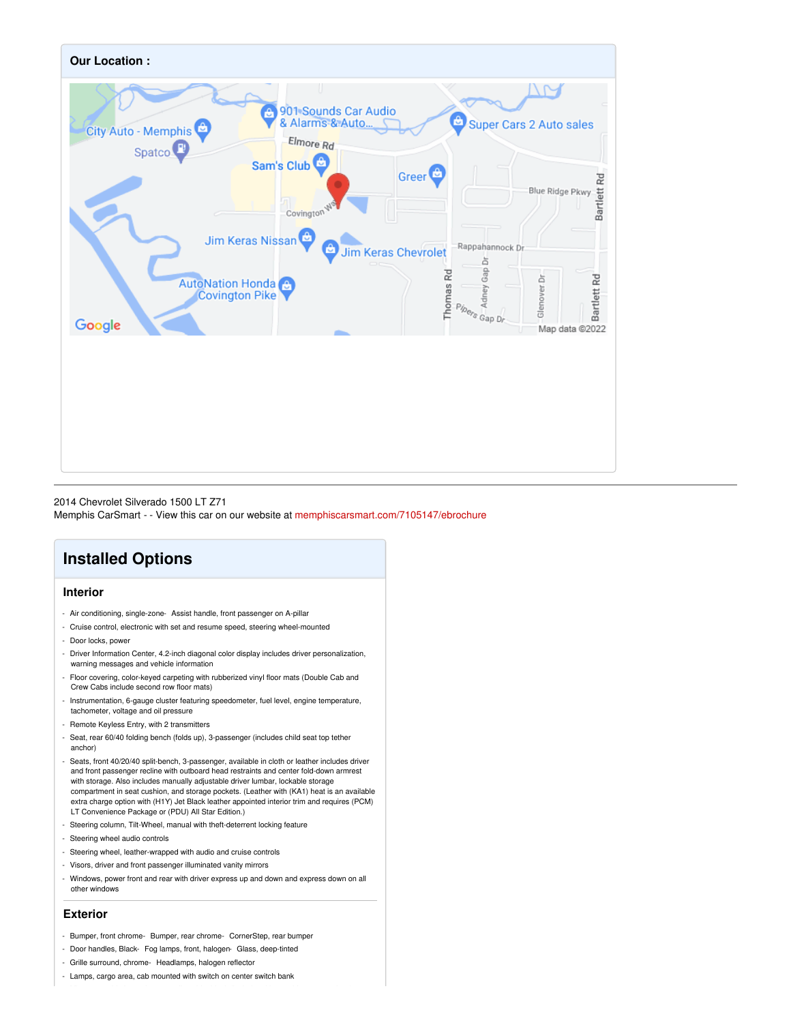

## 2014 Chevrolet Silverado 1500 LT Z71

Memphis CarSmart - - View this car on our website at [memphiscarsmart.com/7105147/ebrochure](https://memphiscarsmart.com/vehicle/7105147/2014-chevrolet-silverado-1500-lt-z71-memphis-tennessee-38128/7105147/ebrochure)

## **Installed Options**

## **Interior**

- Air conditioning, single-zone- Assist handle, front passenger on A-pillar
- Cruise control, electronic with set and resume speed, steering wheel-mounted
- Door locks, power
- Driver Information Center, 4.2-inch diagonal color display includes driver personalization, warning messages and vehicle information
- Floor covering, color-keyed carpeting with rubberized vinyl floor mats (Double Cab and Crew Cabs include second row floor mats)
- Instrumentation, 6-gauge cluster featuring speedometer, fuel level, engine temperature, tachometer, voltage and oil pressure
- Remote Keyless Entry, with 2 transmitters
- Seat, rear 60/40 folding bench (folds up), 3-passenger (includes child seat top tether anchor)
- Seats, front 40/20/40 split-bench, 3-passenger, available in cloth or leather includes driver and front passenger recline with outboard head restraints and center fold-down armrest with storage. Also includes manually adjustable driver lumbar, lockable storage compartment in seat cushion, and storage pockets. (Leather with (KA1) heat is an available extra charge option with (H1Y) Jet Black leather appointed interior trim and requires (PCM) LT Convenience Package or (PDU) All Star Edition.)
- Steering column, Tilt-Wheel, manual with theft-deterrent locking feature
- Steering wheel audio controls
- Steering wheel, leather-wrapped with audio and cruise controls
- Visors, driver and front passenger illuminated vanity mirrors
- Windows, power front and rear with driver express up and down and express down on all other windows

### **Exterior**

- Bumper, front chrome- Bumper, rear chrome- CornerStep, rear bumper
- Door handles, Black- Fog lamps, front, halogen- Glass, deep-tinted
- Grille surround, chrome- Headlamps, halogen reflector
- Lamps, cargo area, cab mounted with switch on center switch bank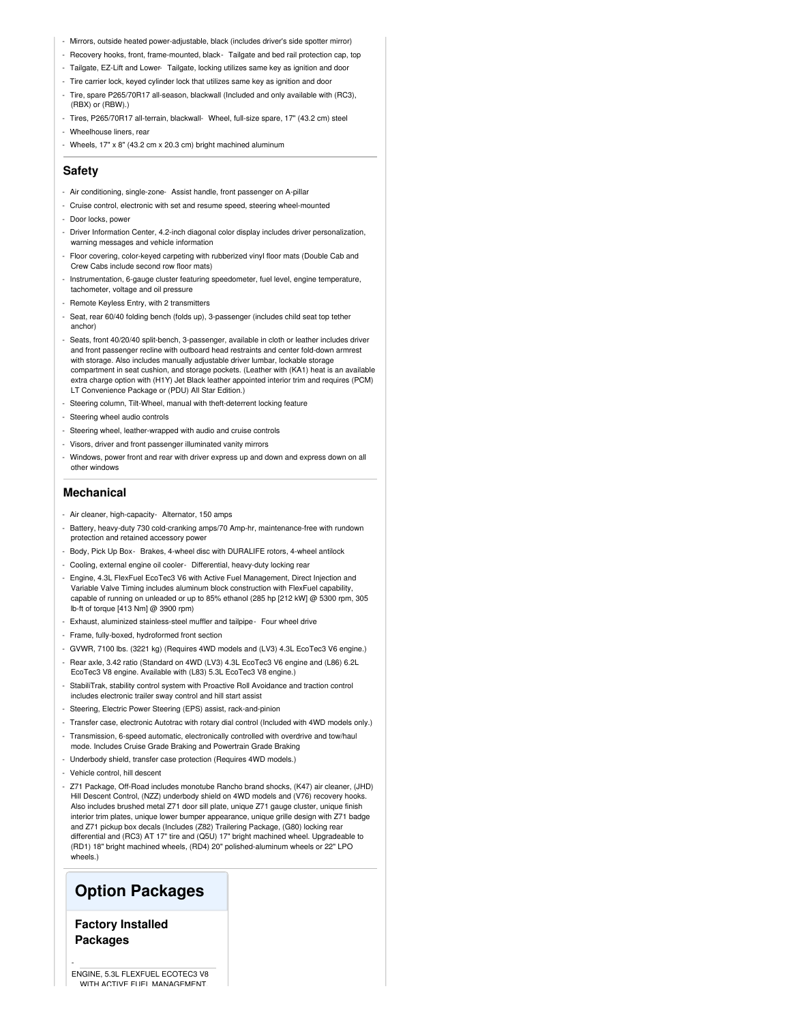- Mirrors, outside heated power-adjustable, black (includes driver's side spotter mirror)
- Recovery hooks, front, frame-mounted, black- Tailgate and bed rail protection cap, top
- Tailgate, EZ-Lift and Lower- Tailgate, locking utilizes same key as ignition and door
- Tire carrier lock, keyed cylinder lock that utilizes same key as ignition and door
- Tire, spare P265/70R17 all-season, blackwall (Included and only available with (RC3), (RBX) or (RBW).)
- Tires, P265/70R17 all-terrain, blackwall- Wheel, full-size spare, 17" (43.2 cm) steel
- Wheelhouse liners, rear
- Wheels, 17" x 8" (43.2 cm x 20.3 cm) bright machined aluminum

### **Safety**

- Air conditioning, single-zone- Assist handle, front passenger on A-pillar
- Cruise control, electronic with set and resume speed, steering wheel-mounted
- Door locks, power
- Driver Information Center, 4.2-inch diagonal color display includes driver personalization, warning messages and vehicle information
- Floor covering, color-keyed carpeting with rubberized vinyl floor mats (Double Cab and Crew Cabs include second row floor mats)
- Instrumentation, 6-gauge cluster featuring speedometer, fuel level, engine temperature, tachometer, voltage and oil pressure
- Remote Keyless Entry, with 2 transmitters
- Seat, rear 60/40 folding bench (folds up), 3-passenger (includes child seat top tether anchor)
- Seats, front 40/20/40 split-bench, 3-passenger, available in cloth or leather includes driver and front passenger recline with outboard head restraints and center fold-down armrest with storage. Also includes manually adjustable driver lumbar, lockable storage compartment in seat cushion, and storage pockets. (Leather with (KA1) heat is an available extra charge option with (H1Y) Jet Black leather appointed interior trim and requires (PCM) LT Convenience Package or (PDU) All Star Edition.)
- Steering column, Tilt-Wheel, manual with theft-deterrent locking feature
- Steering wheel audio controls
- Steering wheel, leather-wrapped with audio and cruise controls
- Visors, driver and front passenger illuminated vanity mirrors
- Windows, power front and rear with driver express up and down and express down on all other windows

#### **Mechanical**

- Air cleaner, high-capacity- Alternator, 150 amps
- Battery, heavy-duty 730 cold-cranking amps/70 Amp-hr, maintenance-free with rundown protection and retained accessory power
- Body, Pick Up Box- Brakes, 4-wheel disc with DURALIFE rotors, 4-wheel antilock
- Cooling, external engine oil cooler- Differential, heavy-duty locking rear
- Engine, 4.3L FlexFuel EcoTec3 V6 with Active Fuel Management, Direct Injection and Variable Valve Timing includes aluminum block construction with FlexFuel capability, capable of running on unleaded or up to 85% ethanol (285 hp [212 kW] @ 5300 rpm, 305 lb-ft of torque [413 Nm] @ 3900 rpm)
- Exhaust, aluminized stainless-steel muffler and tailpipe- Four wheel drive
- Frame, fully-boxed, hydroformed front section
- GVWR, 7100 lbs. (3221 kg) (Requires 4WD models and (LV3) 4.3L EcoTec3 V6 engine.)
- Rear axle, 3.42 ratio (Standard on 4WD (LV3) 4.3L EcoTec3 V6 engine and (L86) 6.2L EcoTec3 V8 engine. Available with (L83) 5.3L EcoTec3 V8 engine.)
- StabiliTrak, stability control system with Proactive Roll Avoidance and traction control includes electronic trailer sway control and hill start assis
- Steering, Electric Power Steering (EPS) assist, rack-and-pinion
- Transfer case, electronic Autotrac with rotary dial control (Included with 4WD models only.)
- Transmission, 6-speed automatic, electronically controlled with overdrive and tow/haul mode. Includes Cruise Grade Braking and Powertrain Grade Braking
- Underbody shield, transfer case protection (Requires 4WD models.)
- Vehicle control, hill descent
- Z71 Package, Off-Road includes monotube Rancho brand shocks, (K47) air cleaner, (JHD) Hill Descent Control, (NZZ) underbody shield on 4WD models and (V76) recovery hooks. Also includes brushed metal Z71 door sill plate, unique Z71 gauge cluster, unique finish interior trim plates, unique lower bumper appearance, unique grille design with Z71 badge and Z71 pickup box decals (Includes (Z82) Trailering Package, (G80) locking rear differential and (RC3) AT 17" tire and (Q5U) 17" bright machined wheel. Upgradeable to (RD1) 18" bright machined wheels, (RD4) 20" polished-aluminum wheels or 22" LPO wheels.)

## **Option Packages**

**Factory Installed Packages**

-

ENGINE, 5.3L FLEXFUEL ECOTEC3 V8 WITH ACTIVE FUEL MANAGEMENT